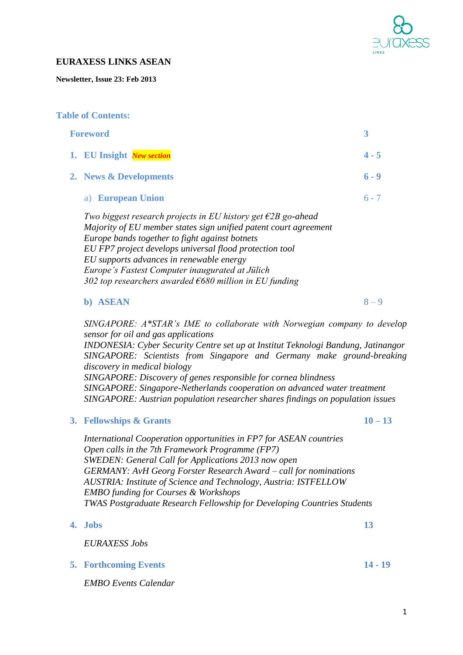

# **EURAXESS LINKS ASEAN**

**Newsletter, Issue 23: Feb 2013**

#### **Table of Contents:**

| <b>Foreword</b>                                                                                                                                                                                                                                         |         |
|---------------------------------------------------------------------------------------------------------------------------------------------------------------------------------------------------------------------------------------------------------|---------|
| 1. EU Insight New section                                                                                                                                                                                                                               | $4 - 5$ |
| 2. News & Developments                                                                                                                                                                                                                                  | $6 - 9$ |
| <b>European Union</b><br>a)                                                                                                                                                                                                                             | $6 - 7$ |
| Two biggest research projects in EU history get $\epsilon$ 2B go-ahead<br>Majority of EU member states sign unified patent court agreement<br>Europe bands together to fight against botnets<br>EU FP7 project develops universal flood protection tool |         |

*EU supports advances in renewable energy Europe's Fastest Computer inaugurated at Jülich 302 top researchers awarded €680 million in EU funding*

#### **b**) **ASEAN** 8-9

*SINGAPORE: A\*STAR's IME to collaborate with Norwegian company to develop sensor for oil and gas applications*

*INDONESIA: Cyber Security Centre set up at Institut Teknologi Bandung, Jatinangor SINGAPORE: Scientists from Singapore and Germany make ground-breaking discovery in medical biology*

*SINGAPORE: Discovery of genes responsible for cornea blindness SINGAPORE: Singapore-Netherlands cooperation on advanced water treatment SINGAPORE: Austrian population researcher shares findings on population issues*

**3. Fellowships & Grants 10 – 13**

*International Cooperation opportunities in FP7 for ASEAN countries Open calls in the 7th Framework Programme (FP7) SWEDEN: General Call for Applications 2013 now open GERMANY: AvH Georg Forster Research Award – call for nominations AUSTRIA: Institute of Science and Technology, Austria: ISTFELLOW EMBO funding for Courses & Workshops TWAS Postgraduate Research Fellowship for Developing Countries Students*

**4. Jobs 13** 

*EURAXESS Jobs*

**5. Forthcoming Events 14 - 19**

*EMBO Events Calendar*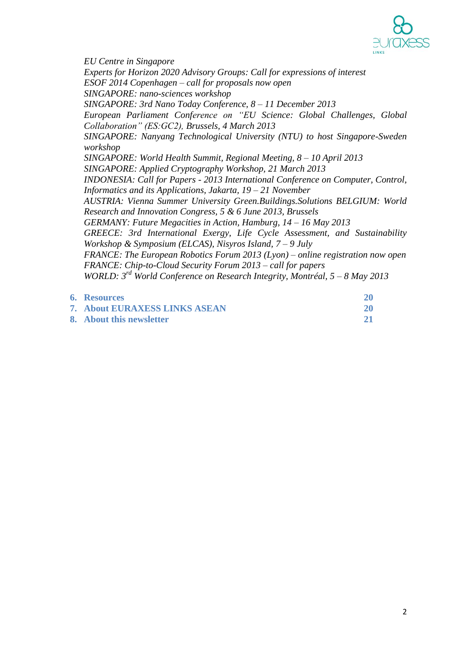

*EU Centre in Singapore Experts for Horizon 2020 Advisory Groups: Call for expressions of interest ESOF 2014 Copenhagen – call for proposals now open SINGAPORE: nano-sciences workshop SINGAPORE: 3rd Nano Today Conference, 8 – 11 December 2013 European Parliament Conference on "EU Science: Global Challenges, Global Collaboration" (ES:GC2), Brussels, 4 March 2013 SINGAPORE: Nanyang Technological University (NTU) to host Singapore-Sweden workshop SINGAPORE: World Health Summit, Regional Meeting, 8 – 10 April 2013 SINGAPORE: Applied Cryptography Workshop, 21 March 2013 INDONESIA: Call for Papers - 2013 International Conference on Computer, Control, Informatics and its Applications, Jakarta, 19 – 21 November AUSTRIA: Vienna Summer University Green.Buildings.Solutions BELGIUM: World Research and Innovation Congress, 5 & 6 June 2013, Brussels GERMANY: Future Megacities in Action, Hamburg, 14 – 16 May 2013 GREECE: 3rd International Exergy, Life Cycle Assessment, and Sustainability Workshop & Symposium (ELCAS), Nisyros Island, 7 – 9 July FRANCE: The European Robotics Forum 2013 (Lyon) – online registration now open FRANCE: Chip-to-Cloud Security Forum 2013 – call for papers WORLD: 3rd World Conference on Research Integrity, Montréal, 5 – 8 May 2013*

| <b>6.</b> Resources           |  |
|-------------------------------|--|
| 7. About EURAXESS LINKS ASEAN |  |
| 8. About this newsletter      |  |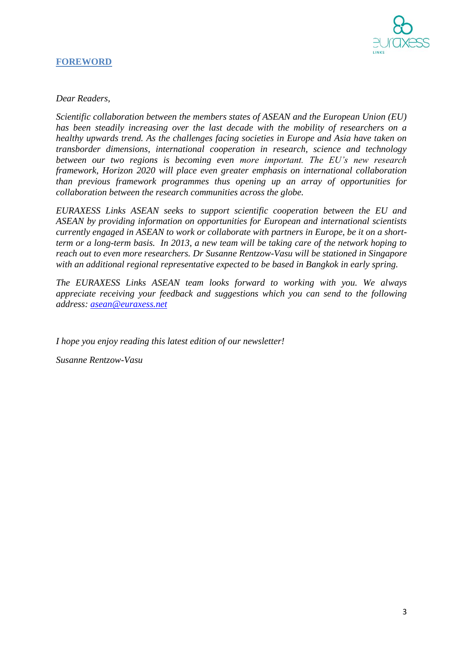# **FOREWORD**

# *Dear Readers,*

*Scientific collaboration between the members states of ASEAN and the European Union (EU) has been steadily increasing over the last decade with the mobility of researchers on a healthy upwards trend. As the challenges facing societies in Europe and Asia have taken on transborder dimensions, international cooperation in research, science and technology between our two regions is becoming even more important. The EU's new research framework, Horizon 2020 will place even greater emphasis on international collaboration than previous framework programmes thus opening up an array of opportunities for collaboration between the research communities across the globe.* 

*EURAXESS Links ASEAN seeks to support scientific cooperation between the EU and ASEAN by providing information on opportunities for European and international scientists currently engaged in ASEAN to work or collaborate with partners in Europe, be it on a shortterm or a long-term basis. In 2013, a new team will be taking care of the network hoping to reach out to even more researchers. Dr Susanne Rentzow-Vasu will be stationed in Singapore with an additional regional representative expected to be based in Bangkok in early spring.*

*The EURAXESS Links ASEAN team looks forward to working with you. We always appreciate receiving your feedback and suggestions which you can send to the following address: [asean@euraxess.net](mailto:asean@euraxess.net)*

*I hope you enjoy reading this latest edition of our newsletter!*

*Susanne Rentzow-Vasu*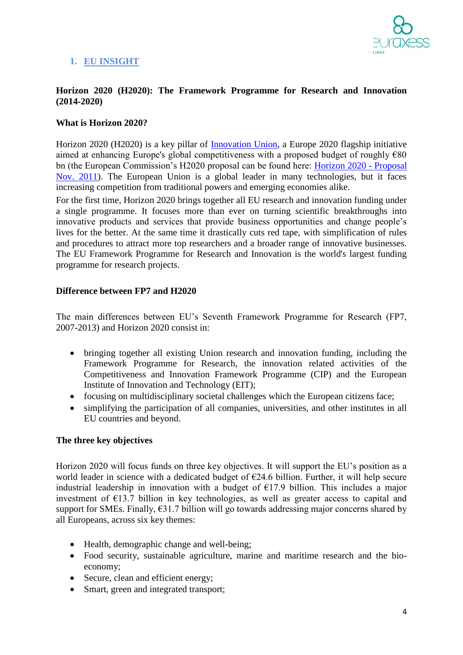# **1. EU INSIGHT**



# **Horizon 2020 (H2020): The Framework Programme for Research and Innovation (2014-2020)**

# **What is Horizon 2020?**

Horizon 2020 (H2020) is a key pillar of [Innovation Union,](http://ec.europa.eu/research/innovation-union/index_en.cfm) a Europe 2020 flagship initiative aimed at enhancing Europe's global competitiveness with a proposed budget of roughly €80 bn (the European Commission's H2020 proposal can be found here: [Horizon 2020 -](http://ec.europa.eu/research/horizon2020/index_en.cfm?pg=h2020-documents) Proposal [Nov. 2011\)](http://ec.europa.eu/research/horizon2020/index_en.cfm?pg=h2020-documents). The European Union is a global leader in many technologies, but it faces increasing competition from traditional powers and emerging economies alike.

For the first time, Horizon 2020 brings together all EU research and innovation funding under a single programme. It focuses more than ever on turning scientific breakthroughs into innovative products and services that provide business opportunities and change people's lives for the better. At the same time it drastically cuts red tape, with simplification of rules and procedures to attract more top researchers and a broader range of innovative businesses. The EU Framework Programme for Research and Innovation is the world's largest funding programme for research projects.

# **Difference between FP7 and H2020**

The main differences between EU's Seventh Framework Programme for Research (FP7, 2007-2013) and Horizon 2020 consist in:

- bringing together all existing Union research and innovation funding, including the Framework Programme for Research, the innovation related activities of the Competitiveness and Innovation Framework Programme (CIP) and the European Institute of Innovation and Technology (EIT);
- focusing on multidisciplinary societal challenges which the European citizens face;
- simplifying the participation of all companies, universities, and other institutes in all EU countries and beyond.

#### **The three key objectives**

Horizon 2020 will focus funds on three key objectives. It will support the EU's position as a world leader in science with a dedicated budget of €24.6 billion. Further, it will help secure industrial leadership in innovation with a budget of  $E17.9$  billion. This includes a major investment of  $E$ 13.7 billion in key technologies, as well as greater access to capital and support for SMEs. Finally, €31.7 billion will go towards addressing major concerns shared by all Europeans, across six key themes:

- Health, demographic change and well-being;
- Food security, sustainable agriculture, marine and maritime research and the bioeconomy;
- Secure, clean and efficient energy;
- Smart, green and integrated transport;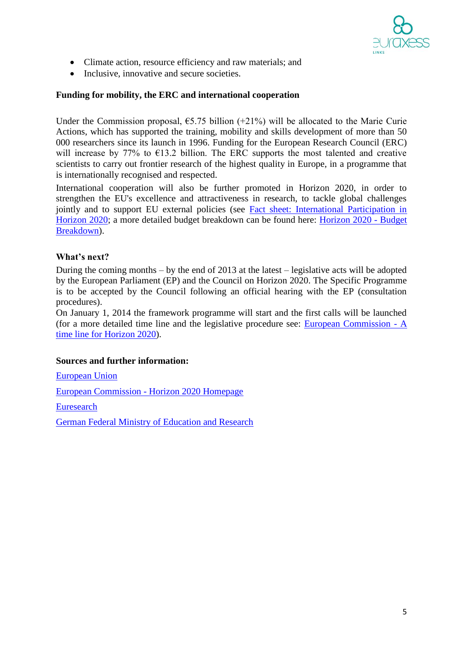

- Climate action, resource efficiency and raw materials; and
- Inclusive, innovative and secure societies.

# **Funding for mobility, the ERC and international cooperation**

Under the Commission proposal,  $65.75$  billion (+21%) will be allocated to the Marie Curie Actions, which has supported the training, mobility and skills development of more than 50 000 researchers since its launch in 1996. Funding for the European Research Council (ERC) will increase by 77% to  $E13.2$  billion. The ERC supports the most talented and creative scientists to carry out frontier research of the highest quality in Europe, in a programme that is internationally recognised and respected.

International cooperation will also be further promoted in Horizon 2020, in order to strengthen the EU's excellence and attractiveness in research, to tackle global challenges jointly and to support EU external policies (see [Fact sheet: International Participation in](http://ec.europa.eu/research/horizon2020/index_en.cfm?pg=h2020-documents)  [Horizon 2020;](http://ec.europa.eu/research/horizon2020/index_en.cfm?pg=h2020-documents) a more detailed budget breakdown can be found here: [Horizon 2020 -](http://ec.europa.eu/research/horizon2020/pdf/press/horizon_2020_budget_constant_2011.pdf) Budget [Breakdown\)](http://ec.europa.eu/research/horizon2020/pdf/press/horizon_2020_budget_constant_2011.pdf).

# **What's next?**

During the coming months – by the end of 2013 at the latest – legislative acts will be adopted by the European Parliament (EP) and the Council on Horizon 2020. The Specific Programme is to be accepted by the Council following an official hearing with the EP (consultation procedures).

On January 1, 2014 the framework programme will start and the first calls will be launched (for a more detailed time line and the legislative procedure see: [European Commission -](http://ec.europa.eu/research/horizon2020/index_en.cfm?pg=h2020-timeline) A [time line for Horizon 2020\)](http://ec.europa.eu/research/horizon2020/index_en.cfm?pg=h2020-timeline).

#### **Sources and further information:**

[European Union](http://europa.eu/rapid/press-release_IP-11-1475_en.htm)

European Commission - [Horizon 2020 Homepage](http://ec.europa.eu/research/horizon2020/index_en.cfm?pg=home)

[Euresearch](http://www.euresearch.ch/index.php?id=1356)

[German Federal Ministry of Education and Research](http://www.bmbf.de/en/959.php)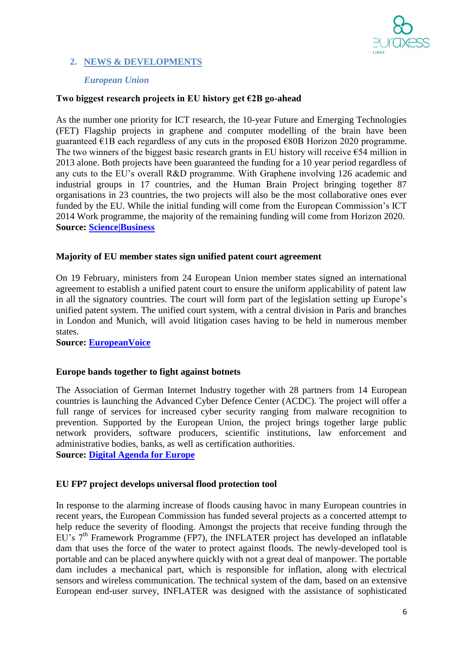

# **2. NEWS & DEVELOPMENTS**

#### *European Union*

# **Two biggest research projects in EU history get €2B go-ahead**

As the number one priority for ICT research, the 10-year Future and Emerging Technologies (FET) Flagship projects in graphene and computer modelling of the brain have been guaranteed  $\epsilon$ 1B each regardless of any cuts in the proposed  $\epsilon$ 80B Horizon 2020 programme. The two winners of the biggest basic research grants in EU history will receive  $\epsilon$ 54 million in 2013 alone. Both projects have been guaranteed the funding for a 10 year period regardless of any cuts to the EU's overall R&D programme. With Graphene involving 126 academic and industrial groups in 17 countries, and the Human Brain Project bringing together 87 organisations in 23 countries, the two projects will also be the most collaborative ones ever funded by the EU. While the initial funding will come from the European Commission's ICT 2014 Work programme, the majority of the remaining funding will come from Horizon 2020. **Source: [Science|Business](http://www.sciencebusiness.net/news/76020/Two-biggest-research-projects-in-EU-history-get-%E2%82%AC2B-go-ahead)**

#### **Majority of EU member states sign unified patent court agreement**

On 19 February, ministers from 24 European Union member states signed an international agreement to establish a unified patent court to ensure the uniform applicability of patent law in all the signatory countries. The court will form part of the legislation setting up Europe's unified patent system. The unified court system, with a central division in Paris and branches in London and Munich, will avoid litigation cases having to be held in numerous member states.

**Source: [EuropeanVoice](http://www.europeanvoice.com/article/2013/february/patent-court-agreement-signed/76455.aspx)**

#### **Europe bands together to fight against botnets**

The Association of German Internet Industry together with 28 partners from 14 European countries is launching the Advanced Cyber Defence Center (ACDC). The project will offer a full range of services for increased cyber security ranging from malware recognition to prevention. Supported by the European Union, the project brings together large public network providers, software producers, scientific institutions, law enforcement and administrative bodies, banks, as well as certification authorities.

**Source: [Digital Agenda for Europe](http://ec.europa.eu/digital-agenda/en/news/europe-bands-together-fight-against-botnets)**

# **EU FP7 project develops universal flood protection tool**

In response to the alarming increase of floods causing havoc in many European countries in recent years, the European Commission has funded several projects as a concerted attempt to help reduce the severity of flooding. Amongst the projects that receive funding through the EU's 7th Framework Programme (FP7), the INFLATER project has developed an inflatable dam that uses the force of the water to protect against floods. The newly-developed tool is portable and can be placed anywhere quickly with not a great deal of manpower. The portable dam includes a mechanical part, which is responsible for inflation, along with electrical sensors and wireless communication. The technical system of the dam, based on an extensive European end-user survey, INFLATER was designed with the assistance of sophisticated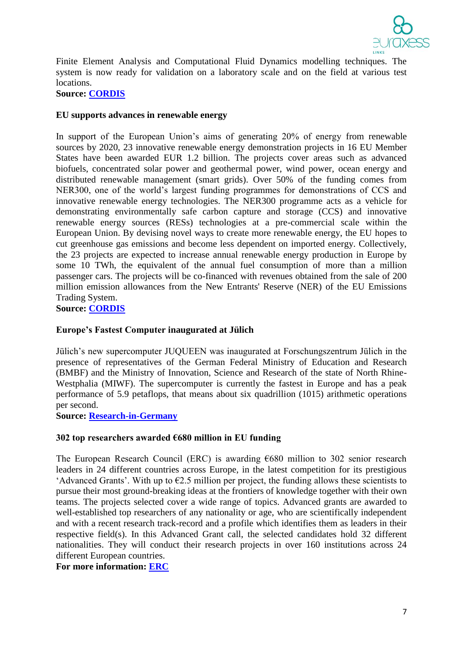

Finite Element Analysis and Computational Fluid Dynamics modelling techniques. The system is now ready for validation on a laboratory scale and on the field at various test locations.

# **Source: [CORDIS](http://cordis.europa.eu/fetch?CALLER=EN_NEWS&ACTION=D&SESSION=&RCN=35526)**

#### **EU supports advances in renewable energy**

In support of the European Union's aims of generating 20% of energy from renewable sources by 2020, 23 innovative renewable energy demonstration projects in 16 EU Member States have been awarded EUR 1.2 billion. The projects cover areas such as advanced biofuels, concentrated solar power and geothermal power, wind power, ocean energy and distributed renewable management (smart grids). Over 50% of the funding comes from NER300, one of the world's largest funding programmes for demonstrations of CCS and innovative renewable energy technologies. The NER300 programme acts as a vehicle for demonstrating environmentally safe carbon capture and storage (CCS) and innovative renewable energy sources (RESs) technologies at a pre-commercial scale within the European Union. By devising novel ways to create more renewable energy, the EU hopes to cut greenhouse gas emissions and become less dependent on imported energy. Collectively, the 23 projects are expected to increase annual renewable energy production in Europe by some 10 TWh, the equivalent of the annual fuel consumption of more than a million passenger cars. The projects will be co-financed with revenues obtained from the sale of 200 million emission allowances from the New Entrants' Reserve (NER) of the EU Emissions Trading System.

**Source: [CORDIS](http://cordis.europa.eu/fetch?CALLER=EN_NEWS&ACTION=D&SESSION=&RCN=35466)**

#### **Europe's Fastest Computer inaugurated at Jülich**

Jülich's new supercomputer JUQUEEN was inaugurated at Forschungszentrum Jülich in the presence of representatives of the German Federal Ministry of Education and Research (BMBF) and the Ministry of Innovation, Science and Research of the state of North Rhine-Westphalia (MIWF). The supercomputer is currently the fastest in Europe and has a peak performance of 5.9 petaflops, that means about six quadrillion (1015) arithmetic operations per second.

**Source: [Research-in-Germany](http://www.research-in-germany.de/122994/2013-02-18-europe-s-fastest-computer-inaugurated-at-j-lich,sourcePageId=8240.html)**

#### **302 top researchers awarded €680 million in EU funding**

The European Research Council (ERC) is awarding  $6680$  million to 302 senior research leaders in 24 different countries across Europe, in the latest competition for its prestigious 'Advanced Grants'. With up to  $\epsilon$ 2.5 million per project, the funding allows these scientists to pursue their most ground-breaking ideas at the frontiers of knowledge together with their own teams. The projects selected cover a wide range of topics. Advanced grants are awarded to well-established top researchers of any nationality or age, who are scientifically independent and with a recent research track-record and a profile which identifies them as leaders in their respective field(s). In this Advanced Grant call, the selected candidates hold 32 different nationalities. They will conduct their research projects in over 160 institutions across 24 different European countries.

# **For more information: [ERC](http://erc.europa.eu/sites/default/files/press_release/files/press_release_adg2012_results.pdf)**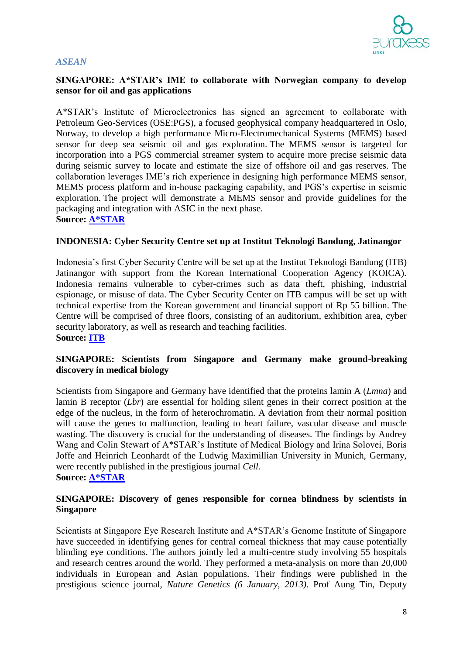# *ASEAN*



# **SINGAPORE: A\*STAR's IME to collaborate with Norwegian company to develop sensor for oil and gas applications**

A\*STAR's Institute of Microelectronics has signed an agreement to collaborate with Petroleum Geo-Services (OSE:PGS), a focused geophysical company headquartered in Oslo, Norway, to develop a high performance Micro-Electromechanical Systems (MEMS) based sensor for deep sea seismic oil and gas exploration. The MEMS sensor is targeted for incorporation into a PGS commercial streamer system to acquire more precise seismic data during seismic survey to locate and estimate the size of offshore oil and gas reserves. The collaboration leverages IME's rich experience in designing high performance MEMS sensor, MEMS process platform and in-house packaging capability, and PGS's expertise in seismic exploration. The project will demonstrate a MEMS sensor and provide guidelines for the packaging and integration with ASIC in the next phase. **Source: [A\\*STAR](http://www.a-star.edu.sg/Media/News/PressReleases/tabid/828/articleType/ArticleView/articleId/1772/Default.aspx)**

# **INDONESIA: Cyber Security Centre set up at Institut Teknologi Bandung, Jatinangor**

Indonesia's first Cyber Security Centre will be set up at the Institut Teknologi Bandung (ITB) Jatinangor with support from the Korean International Cooperation Agency (KOICA). Indonesia remains vulnerable to cyber-crimes such as data theft, phishing, industrial espionage, or misuse of data. The Cyber Security Center on ITB campus will be set up with technical expertise from the Korean government and financial support of Rp 55 billion. The Centre will be comprised of three floors, consisting of an auditorium, exhibition area, cyber security laboratory, as well as research and teaching facilities. **Source: [ITB](http://www.itb.ac.id/en/news/3813)**

# **SINGAPORE: Scientists from Singapore and Germany make ground-breaking discovery in medical biology**

Scientists from Singapore and Germany have identified that the proteins lamin A (*Lmna*) and lamin B receptor (*Lbr*) are essential for holding silent genes in their correct position at the edge of the nucleus, in the form of heterochromatin. A deviation from their normal position will cause the genes to malfunction, leading to heart failure, vascular disease and muscle wasting. The discovery is crucial for the understanding of diseases. The findings by Audrey Wang and Colin Stewart of A\*STAR's Institute of Medical Biology and Irina Solovei, Boris Joffe and Heinrich Leonhardt of the Ludwig Maximillian University in Munich, Germany, were recently published in the prestigious journal *Cell.*  **Source: [A\\*STAR](http://www.a-star.edu.sg/?TabId=828&articleType=ArticleView&articleId=1775)**

# **SINGAPORE: Discovery of genes responsible for cornea blindness by scientists in Singapore**

Scientists at Singapore Eye Research Institute and A\*STAR's Genome Institute of Singapore have succeeded in identifying genes for central corneal thickness that may cause potentially blinding eye conditions. The authors jointly led a multi-centre study involving 55 hospitals and research centres around the world. They performed a meta-analysis on more than 20,000 individuals in European and Asian populations. Their findings were published in the prestigious science journal, *Nature Genetics (6 January, 2013)*. Prof Aung Tin, Deputy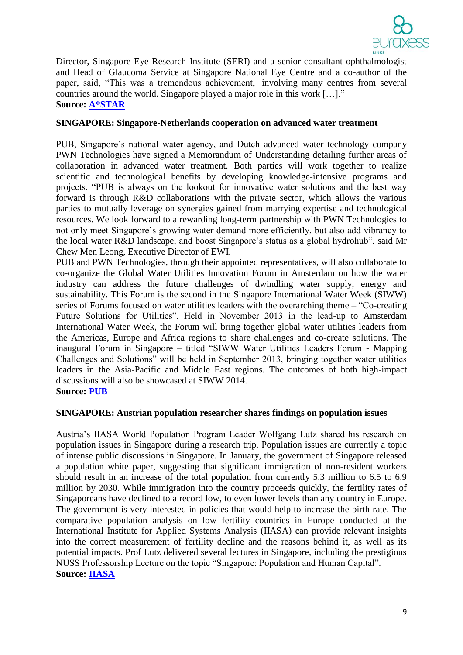

Director, Singapore Eye Research Institute (SERI) and a senior consultant ophthalmologist and Head of Glaucoma Service at Singapore National Eye Centre and a co-author of the paper, said, "This was a tremendous achievement, involving many centres from several countries around the world. Singapore played a major role in this work […]." **Source: [A\\*STAR](http://www.a-star.edu.sg/Media/News/PressReleases/tabid/828/articleType/ArticleView/articleId/1762/Default.aspx)**

# **SINGAPORE: Singapore-Netherlands cooperation on advanced water treatment**

PUB, Singapore's national water agency, and Dutch advanced water technology company PWN Technologies have signed a Memorandum of Understanding detailing further areas of collaboration in advanced water treatment. Both parties will work together to realize scientific and technological benefits by developing knowledge-intensive programs and projects. "PUB is always on the lookout for innovative water solutions and the best way forward is through R&D collaborations with the private sector, which allows the various parties to mutually leverage on synergies gained from marrying expertise and technological resources. We look forward to a rewarding long-term partnership with PWN Technologies to not only meet Singapore's growing water demand more efficiently, but also add vibrancy to the local water R&D landscape, and boost Singapore's status as a global hydrohub", said Mr Chew Men Leong, Executive Director of EWI.

PUB and PWN Technologies, through their appointed representatives, will also collaborate to co-organize the Global Water Utilities Innovation Forum in Amsterdam on how the water industry can address the future challenges of dwindling water supply, energy and sustainability. This Forum is the second in the Singapore International Water Week (SIWW) series of Forums focused on water utilities leaders with the overarching theme – "Co-creating Future Solutions for Utilities". Held in November 2013 in the lead-up to Amsterdam International Water Week, the Forum will bring together global water utilities leaders from the Americas, Europe and Africa regions to share challenges and co-create solutions. The inaugural Forum in Singapore – titled "SIWW Water Utilities Leaders Forum - Mapping Challenges and Solutions" will be held in September 2013, bringing together water utilities leaders in the Asia-Pacific and Middle East regions. The outcomes of both high-impact discussions will also be showcased at SIWW 2014.

**Source: [PUB](http://www.pub.gov.sg/mpublications/Pages/PressReleases.aspx?ItemId=359)**

#### **SINGAPORE: Austrian population researcher shares findings on population issues**

Austria's IIASA World Population Program Leader Wolfgang Lutz shared his research on population issues in Singapore during a research trip. Population issues are currently a topic of intense public discussions in Singapore. In January, the government of Singapore released a population white paper, suggesting that significant immigration of non-resident workers should result in an increase of the total population from currently 5.3 million to 6.5 to 6.9 million by 2030. While immigration into the country proceeds quickly, the fertility rates of Singaporeans have declined to a record low, to even lower levels than any country in Europe. The government is very interested in policies that would help to increase the birth rate. The comparative population analysis on low fertility countries in Europe conducted at the International Institute for Applied Systems Analysis (IIASA) can provide relevant insights into the correct measurement of fertility decline and the reasons behind it, as well as its potential impacts. Prof Lutz delivered several lectures in Singapore, including the prestigious NUSS Professorship Lecture on the topic "Singapore: Population and Human Capital". **Source: [IIASA](http://www.iiasa.ac.at/web/home/about/news/IIASA-population-researchers-in-Singapore.en.html)**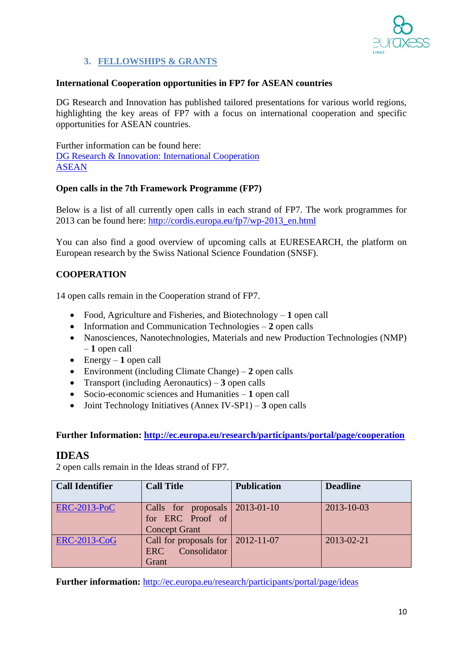

# **3. FELLOWSHIPS & GRANTS**

#### **International Cooperation opportunities in FP7 for ASEAN countries**

DG Research and Innovation has published tailored presentations for various world regions, highlighting the key areas of FP7 with a focus on international cooperation and specific opportunities for ASEAN countries.

Further information can be found here: [DG Research & Innovation: International Cooperation](http://ec.europa.eu/research/iscp/index.cfm?lg=en&pg=infoday-2012) [ASEAN](http://ec.europa.eu/research/iscp/pdf/fp7_infoday_2012/asean_wp_2013.pdf#view=fit&pagemode=none)

# **Open calls in the 7th Framework Programme (FP7)**

Below is a list of all currently open calls in each strand of FP7. The work programmes for 2013 can be found here: [http://cordis.europa.eu/fp7/wp-2013\\_en.html](http://cordis.europa.eu/fp7/wp-2013_en.html)

You can also find a good overview of upcoming calls at EURESEARCH, the platform on European research by the Swiss National Science Foundation (SNSF).

# **COOPERATION**

14 open calls remain in the Cooperation strand of FP7.

- Food, Agriculture and Fisheries, and Biotechnology **1** open call
- Information and Communication Technologies 2 open calls
- Nanosciences, Nanotechnologies, Materials and new Production Technologies (NMP) – **1** open call
- $\bullet$  Energy 1 open call
- Environment (including Climate Change) **2** open calls
- Transport (including Aeronautics) **3** open calls
- Socio-economic sciences and Humanities **1** open call
- Joint Technology Initiatives (Annex IV-SP1) **3** open calls

**Further Information:<http://ec.europa.eu/research/participants/portal/page/cooperation>**

# **IDEAS**

2 open calls remain in the Ideas strand of FP7.

| <b>Call Identifier</b> | <b>Call Title</b>                                                          | <b>Publication</b> | <b>Deadline</b> |
|------------------------|----------------------------------------------------------------------------|--------------------|-----------------|
| <b>ERC-2013-PoC</b>    | Calls for proposals 2013-01-10<br>for ERC Proof of<br><b>Concept Grant</b> |                    | 2013-10-03      |
| <b>ERC-2013-CoG</b>    | Call for proposals for $\vert$ 2012-11-07<br>Consolidator<br>ERC.<br>Grant |                    | 2013-02-21      |

**Further information:** <http://ec.europa.eu/research/participants/portal/page/ideas>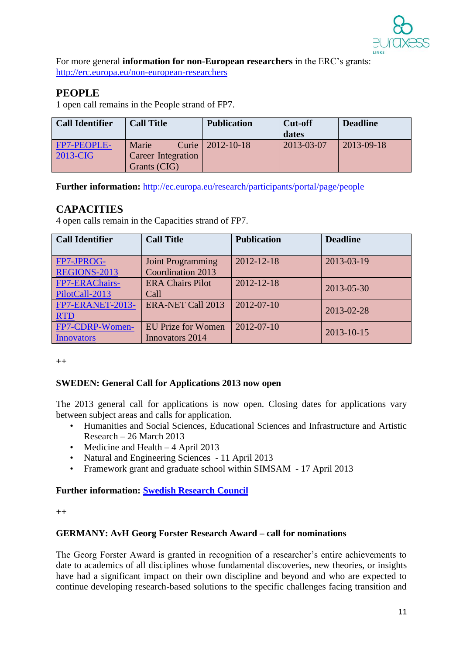

For more general **information for non-European researchers** in the ERC's grants: <http://erc.europa.eu/non-european-researchers>

# **PEOPLE**

1 open call remains in the People strand of FP7.

| <b>Call Identifier</b> | <b>Call Title</b>         | <b>Publication</b> | <b>Cut-off</b> | <b>Deadline</b> |
|------------------------|---------------------------|--------------------|----------------|-----------------|
|                        |                           |                    | dates          |                 |
| FP7-PEOPLE-            | Marie                     | Curie 2012-10-18   | 2013-03-07     | 2013-09-18      |
| 2013-CIG               | <b>Career Integration</b> |                    |                |                 |
|                        | Grants (CIG)              |                    |                |                 |

**Further information:** <http://ec.europa.eu/research/participants/portal/page/people>

# **CAPACITIES**

4 open calls remain in the Capacities strand of FP7.

| <b>Call Identifier</b>               | <b>Call Title</b>                                   | <b>Publication</b> | <b>Deadline</b> |
|--------------------------------------|-----------------------------------------------------|--------------------|-----------------|
| FP7-JPROG-<br>REGIONS-2013           | <b>Joint Programming</b><br>Coordination 2013       | 2012-12-18         | 2013-03-19      |
| FP7-ERAChairs-<br>PilotCall-2013     | <b>ERA Chairs Pilot</b><br>Call                     | 2012-12-18         | 2013-05-30      |
| FP7-ERANET-2013-<br><b>RTD</b>       | <b>ERA-NET Call 2013</b>                            | 2012-07-10         | 2013-02-28      |
| FP7-CDRP-Women-<br><b>Innovators</b> | <b>EU Prize for Women</b><br><b>Innovators 2014</b> | 2012-07-10         | 2013-10-15      |

**++**

# **SWEDEN: General Call for Applications 2013 now open**

The 2013 general call for applications is now open. Closing dates for applications vary between subject areas and calls for application.

- Humanities and Social Sciences, Educational Sciences and Infrastructure and Artistic Research – 26 March 2013
- Medicine and Health 4 April 2013
- Natural and Engineering Sciences 11 April 2013
- Framework grant and graduate school within SIMSAM 17 April 2013

# **Further information: [Swedish Research Council](http://www.vr.se/inenglish/researchfunding/ourgrants2013.4.44482f6612355bb5ee780002186.html)**

**++**

#### **GERMANY: AvH Georg Forster Research Award – call for nominations**

The Georg Forster Award is granted in recognition of a researcher's entire achievements to date to academics of all disciplines whose fundamental discoveries, new theories, or insights have had a significant impact on their own discipline and beyond and who are expected to continue developing research-based solutions to the specific challenges facing transition and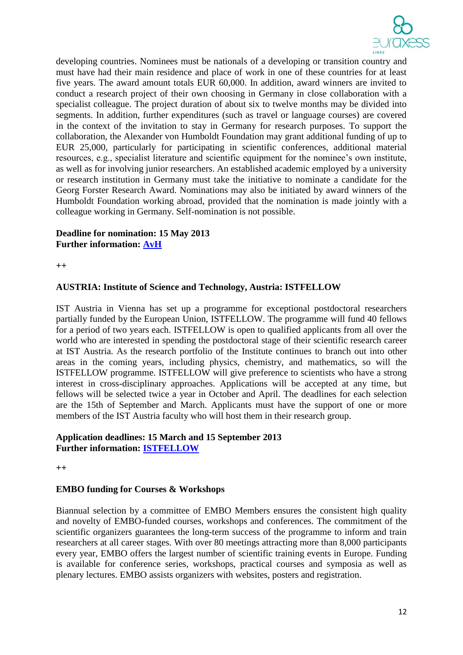

developing countries. Nominees must be nationals of a developing or transition country and must have had their main residence and place of work in one of these countries for at least five years. The award amount totals EUR 60,000. In addition, award winners are invited to conduct a research project of their own choosing in Germany in close collaboration with a specialist colleague. The project duration of about six to twelve months may be divided into segments. In addition, further expenditures (such as travel or language courses) are covered in the context of the invitation to stay in Germany for research purposes. To support the collaboration, the Alexander von Humboldt Foundation may grant additional funding of up to EUR 25,000, particularly for participating in scientific conferences, additional material resources, e.g., specialist literature and scientific equipment for the nominee's own institute, as well as for involving junior researchers. An established academic employed by a university or research institution in Germany must take the initiative to nominate a candidate for the Georg Forster Research Award. Nominations may also be initiated by award winners of the Humboldt Foundation working abroad, provided that the nomination is made jointly with a colleague working in Germany. Self-nomination is not possible.

#### **Deadline for nomination: 15 May 2013 Further information: [AvH](http://www.humboldt-foundation.de/web/georg-forster-award.html)**

**++**

# **AUSTRIA: Institute of Science and Technology, Austria: ISTFELLOW**

IST Austria in Vienna has set up a programme for exceptional postdoctoral researchers partially funded by the European Union, ISTFELLOW. The programme will fund 40 fellows for a period of two years each. ISTFELLOW is open to qualified applicants from all over the world who are interested in spending the postdoctoral stage of their scientific research career at IST Austria. As the research portfolio of the Institute continues to branch out into other areas in the coming years, including physics, chemistry, and mathematics, so will the ISTFELLOW programme. ISTFELLOW will give preference to scientists who have a strong interest in cross-disciplinary approaches. Applications will be accepted at any time, but fellows will be selected twice a year in October and April. The deadlines for each selection are the 15th of September and March. Applicants must have the support of one or more members of the IST Austria faculty who will host them in their research group.

#### **Application deadlines: 15 March and 15 September 2013 Further information: [ISTFELLOW](http://ist.ac.at/istfellow)**

**++**

#### **EMBO funding for Courses & Workshops**

Biannual selection by a committee of EMBO Members ensures the consistent high quality and novelty of EMBO-funded courses, workshops and conferences. The commitment of the scientific organizers guarantees the long-term success of the programme to inform and train researchers at all career stages. With over 80 meetings attracting more than 8,000 participants every year, EMBO offers the largest number of scientific training events in Europe. Funding is available for conference series, workshops, practical courses and symposia as well as plenary lectures. EMBO assists organizers with websites, posters and registration.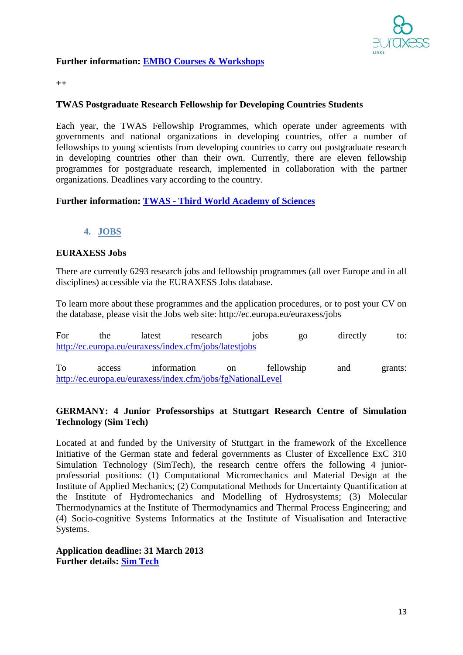

# **Further information: [EMBO Courses & Workshops](http://www.embo.org/funding-awards/courses-workshops)**

**++**

# **TWAS Postgraduate Research Fellowship for Developing Countries Students**

Each year, the TWAS Fellowship Programmes, which operate under agreements with governments and national organizations in developing countries, offer a number of fellowships to young scientists from developing countries to carry out postgraduate research in developing countries other than their own. Currently, there are eleven fellowship programmes for postgraduate research, implemented in collaboration with the partner organizations. Deadlines vary according to the country.

#### **Further information: TWAS - [Third World Academy of Sciences](http://twas.ictp.it/)**

# **4. JOBS**

#### **EURAXESS Jobs**

There are currently 6293 research jobs and fellowship programmes (all over Europe and in all disciplines) accessible via the EURAXESS Jobs database.

To learn more about these programmes and the application procedures, or to post your CV on the database, please visit the Jobs web site: http://ec.europa.eu/euraxess/jobs

| For | the    | latest                                                 | research | iobs | go         | directly | to:     |
|-----|--------|--------------------------------------------------------|----------|------|------------|----------|---------|
|     |        | http://ec.europa.eu/euraxess/index.cfm/jobs/latestjobs |          |      |            |          |         |
| To  | access | information                                            | on.      |      | fellowship | and      | grants: |

<http://ec.europa.eu/euraxess/index.cfm/jobs/fgNationalLevel>

# **GERMANY: 4 Junior Professorships at Stuttgart Research Centre of Simulation Technology (Sim Tech)**

Located at and funded by the University of Stuttgart in the framework of the Excellence Initiative of the German state and federal governments as Cluster of Excellence ExC 310 Simulation Technology (SimTech), the research centre offers the following 4 juniorprofessorial positions: (1) Computational Micromechanics and Material Design at the Institute of Applied Mechanics; (2) Computational Methods for Uncertainty Quantification at the Institute of Hydromechanics and Modelling of Hydrosystems; (3) Molecular Thermodynamics at the Institute of Thermodynamics and Thermal Process Engineering; and (4) Socio-cognitive Systems Informatics at the Institute of Visualisation and Interactive Systems.

**Application deadline: 31 March 2013 Further details: [Sim Tech](http://www.simtech.uni-stuttgart.de/ueberuns/stellen/)**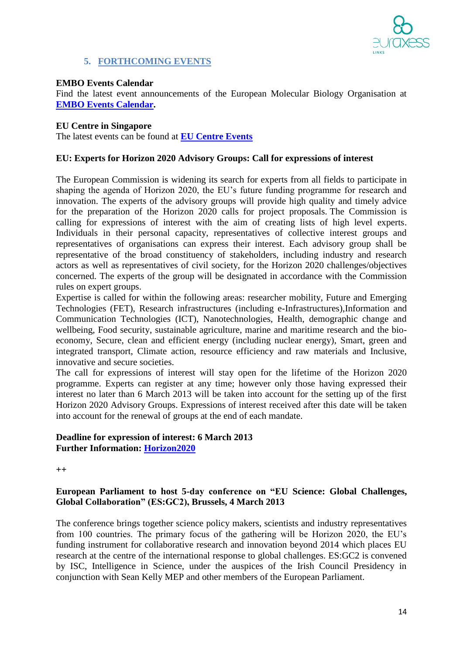

# **5. FORTHCOMING EVENTS**

# **EMBO Events Calendar**

Find the latest event announcements of the European Molecular Biology Organisation at **[EMBO Events Calendar.](http://www.embo.org/events)**

#### **EU Centre in Singapore**

The latest events can be found at **[EU Centre Events](http://www.eucentre.sg/events.php)**

#### **EU: Experts for Horizon 2020 Advisory Groups: Call for expressions of interest**

The European Commission is widening its search for experts from all fields to participate in shaping the agenda of Horizon 2020, the EU's future funding programme for research and innovation. The experts of the advisory groups will provide high quality and timely advice for the preparation of the Horizon 2020 calls for project proposals. The Commission is calling for expressions of interest with the aim of creating lists of high level experts. Individuals in their personal capacity, representatives of collective interest groups and representatives of organisations can express their interest. Each advisory group shall be representative of the broad constituency of stakeholders, including industry and research actors as well as representatives of civil society, for the Horizon 2020 challenges/objectives concerned. The experts of the group will be designated in accordance with the Commission rules on expert groups.

Expertise is called for within the following areas: researcher mobility, Future and Emerging Technologies (FET), Research infrastructures (including e-Infrastructures),Information and Communication Technologies (ICT), Nanotechnologies, Health, demographic change and wellbeing, Food security, sustainable agriculture, marine and maritime research and the bioeconomy, Secure, clean and efficient energy (including nuclear energy), Smart, green and integrated transport, Climate action, resource efficiency and raw materials and Inclusive, innovative and secure societies.

The call for expressions of interest will stay open for the lifetime of the Horizon 2020 programme. Experts can register at any time; however only those having expressed their interest no later than 6 March 2013 will be taken into account for the setting up of the first Horizon 2020 Advisory Groups. Expressions of interest received after this date will be taken into account for the renewal of groups at the end of each mandate.

# **Deadline for expression of interest: 6 March 2013 Further Information: [Horizon2020](http://ec.europa.eu/research/horizon2020/index_en.cfm?pg=h2020-experts)**

**++**

# **European Parliament to host 5-day conference on "EU Science: Global Challenges, Global Collaboration" (ES:GC2), Brussels, 4 March 2013**

The conference brings together science policy makers, scientists and industry representatives from 100 countries. The primary focus of the gathering will be Horizon 2020, the EU's funding instrument for collaborative research and innovation beyond 2014 which places EU research at the centre of the international response to global challenges. ES:GC2 is convened by ISC, Intelligence in Science, under the auspices of the Irish Council Presidency in conjunction with Sean Kelly MEP and other members of the European Parliament.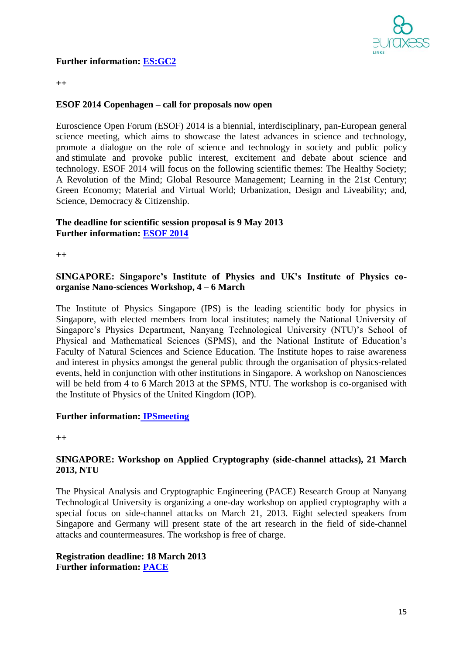

# **Further information: [ES:GC2](http://www.globalsciencecollaboration.org/home)**

**++**

# **ESOF 2014 Copenhagen – call for proposals now open**

Euroscience Open Forum (ESOF) 2014 is a biennial, interdisciplinary, pan-European general science meeting, which aims to showcase the latest advances in science and technology, promote a dialogue on the role of science and technology in society and public policy and stimulate and provoke public interest, excitement and debate about science and technology. ESOF 2014 will focus on the following scientific themes: The Healthy Society; A Revolution of the Mind; Global Resource Management; Learning in the 21st Century; Green Economy; Material and Virtual World; Urbanization, Design and Liveability; and, Science, Democracy & Citizenship.

#### **The deadline for scientific session proposal is 9 May 2013 Further information: [ESOF 2014](http://esof2014.org/calls-for-proposals)**

**++**

# **SINGAPORE: Singapore's Institute of Physics and UK's Institute of Physics coorganise Nano-sciences Workshop, 4 – 6 March**

The Institute of Physics Singapore (IPS) is the leading scientific body for physics in Singapore, with elected members from local institutes; namely the National University of Singapore's Physics Department, Nanyang Technological University (NTU)'s School of Physical and Mathematical Sciences (SPMS), and the National Institute of Education's Faculty of Natural Sciences and Science Education. The Institute hopes to raise awareness and interest in physics amongst the general public through the organisation of physics-related events, held in conjunction with other institutions in Singapore. A workshop on Nanosciences will be held from 4 to 6 March 2013 at the SPMS, NTU. The workshop is co-organised with the Institute of Physics of the United Kingdom (IOP).

# **Further information: [IPSmeeting](http://www.ipsmeeting.org/)**

**++**

# **SINGAPORE: Workshop on Applied Cryptography (side-channel attacks), 21 March 2013, NTU**

The Physical Analysis and Cryptographic Engineering (PACE) Research Group at Nanyang Technological University is organizing a one-day workshop on applied cryptography with a special focus on side-channel attacks on March 21, 2013. Eight selected speakers from Singapore and Germany will present state of the art research in the field of side-channel attacks and countermeasures. The workshop is free of charge.

# **Registration deadline: 18 March 2013 Further information: [PACE](https://sites.google.com/site/workshopappliedcryptography)**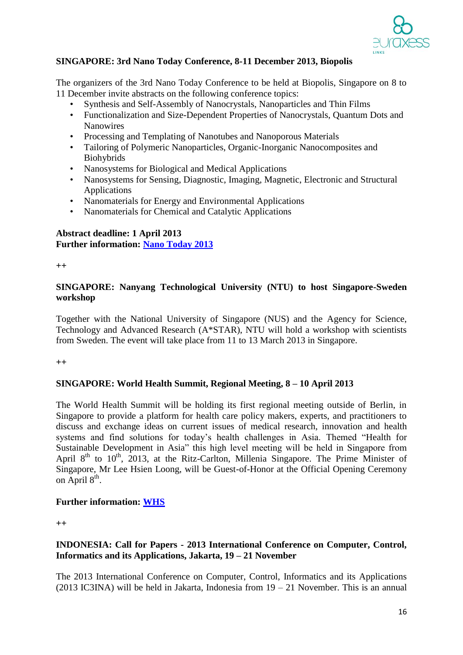

# **SINGAPORE: 3rd Nano Today Conference, 8-11 December 2013, Biopolis**

The organizers of the 3rd Nano Today Conference to be held at Biopolis, Singapore on 8 to 11 December invite abstracts on the following conference topics:

- Synthesis and Self-Assembly of Nanocrystals, Nanoparticles and Thin Films
- Functionalization and Size-Dependent Properties of Nanocrystals, Quantum Dots and Nanowires
- Processing and Templating of Nanotubes and Nanoporous Materials
- Tailoring of Polymeric Nanoparticles, Organic-Inorganic Nanocomposites and Biohybrids
- Nanosystems for Biological and Medical Applications
- Nanosystems for Sensing, Diagnostic, Imaging, Magnetic, Electronic and Structural Applications
- Nanomaterials for Energy and Environmental Applications
- Nanomaterials for Chemical and Catalytic Applications

# **Abstract deadline: 1 April 2013 Further information: [Nano Today 2013](http://www.nanotoday2013.com/)**

**++**

# **SINGAPORE: Nanyang Technological University (NTU) to host Singapore-Sweden workshop**

Together with the National University of Singapore (NUS) and the Agency for Science, Technology and Advanced Research (A\*STAR), NTU will hold a workshop with scientists from Sweden. The event will take place from 11 to 13 March 2013 in Singapore.

**++**

# **SINGAPORE: World Health Summit, Regional Meeting, 8 – 10 April 2013**

The World Health Summit will be holding its first regional meeting outside of Berlin, in Singapore to provide a platform for health care policy makers, experts, and practitioners to discuss and exchange ideas on current issues of medical research, innovation and health systems and find solutions for today's health challenges in Asia. Themed "Health for Sustainable Development in Asia" this high level meeting will be held in Singapore from April  $8<sup>th</sup>$  to 10<sup>th</sup>, 2013, at the Ritz-Carlton, Millenia Singapore. The Prime Minister of Singapore, Mr Lee Hsien Loong, will be Guest-of-Honor at the Official Opening Ceremony on April  $8<sup>th</sup>$ .

#### **Further information: [WHS](http://www.worldhealthsummit.org/whsrma2013/)**

**++**

# **INDONESIA: Call for Papers - 2013 International Conference on Computer, Control, Informatics and its Applications, Jakarta, 19 – 21 November**

The 2013 International Conference on Computer, Control, Informatics and its Applications (2013 IC3INA) will be held in Jakarta, Indonesia from  $19 - 21$  November. This is an annual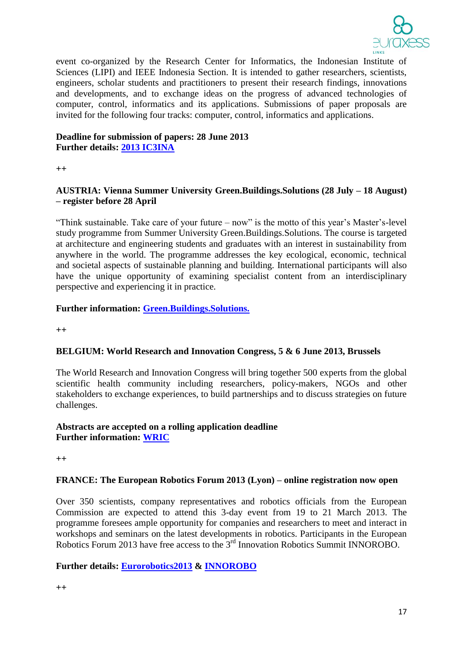

event co-organized by the Research Center for Informatics, the Indonesian Institute of Sciences (LIPI) and IEEE Indonesia Section. It is intended to gather researchers, scientists, engineers, scholar students and practitioners to present their research findings, innovations and developments, and to exchange ideas on the progress of advanced technologies of computer, control, informatics and its applications. Submissions of paper proposals are invited for the following four tracks: computer, control, informatics and applications.

# **Deadline for submission of papers: 28 June 2013 Further details: [2013 IC3INA](http://www.lipi.go.id/)**

**++** 

# **AUSTRIA: Vienna Summer University Green.Buildings.Solutions (28 July – 18 August) – register before 28 April**

"Think sustainable. Take care of your future – now" is the motto of this year's Master's-level study programme from Summer University Green.Buildings.Solutions. The course is targeted at architecture and engineering students and graduates with an interest in sustainability from anywhere in the world. The programme addresses the key ecological, economic, technical and societal aspects of sustainable planning and building. International participants will also have the unique opportunity of examining specialist content from an interdisciplinary perspective and experiencing it in practice.

# **Further information: [Green.Buildings.Solutions.](http://www.inex.org/study-abroad/green-building-solutions-vienna/)**

**++**

#### **BELGIUM: World Research and Innovation Congress, 5 & 6 June 2013, Brussels**

The World Research and Innovation Congress will bring together 500 experts from the global scientific health community including researchers, policy-makers, NGOs and other stakeholders to exchange experiences, to build partnerships and to discuss strategies on future challenges.

#### **Abstracts are accepted on a rolling application deadline Further information: [WRIC](http://www.worldresearchcongress.com/register.php)**

**++**

# **FRANCE: The European Robotics Forum 2013 (Lyon) – online registration now open**

Over 350 scientists, company representatives and robotics officials from the European Commission are expected to attend this 3-day event from 19 to 21 March 2013. The programme foresees ample opportunity for companies and researchers to meet and interact in workshops and seminars on the latest developments in robotics. Participants in the European Robotics Forum 2013 have free access to the 3<sup>rd</sup> Innovation Robotics Summit INNOROBO.

# **Further details: [Eurorobotics2013](http://www.eurobotics2013.com/) & [INNOROBO](http://www.innorobo.com/index.php?lang=en)**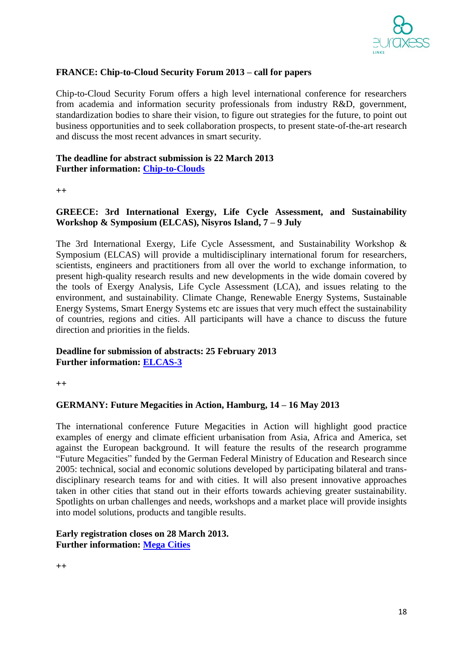

# **FRANCE: Chip-to-Cloud Security Forum 2013 – call for papers**

Chip-to-Cloud Security Forum offers a high level international conference for researchers from academia and information security professionals from industry R&D, government, standardization bodies to share their vision, to figure out strategies for the future, to point out business opportunities and to seek collaboration prospects, to present state-of-the-art research and discuss the most recent advances in smart security.

#### **The deadline for abstract submission is 22 March 2013 Further information: [Chip-to-Clouds](http://www.chip-to-cloud.com/call-for-papers-2013)**

**++**

# **GREECE: 3rd International Exergy, Life Cycle Assessment, and Sustainability Workshop & Symposium (ELCAS), Nisyros Island, 7 – 9 July**

The 3rd International Exergy, Life Cycle Assessment, and Sustainability Workshop & Symposium (ELCAS) will provide a multidisciplinary international forum for researchers, scientists, engineers and practitioners from all over the world to exchange information, to present high-quality research results and new developments in the wide domain covered by the tools of Exergy Analysis, Life Cycle Assessment (LCA), and issues relating to the environment, and sustainability. Climate Change, Renewable Energy Systems, Sustainable Energy Systems, Smart Energy Systems etc are issues that very much effect the sustainability of countries, regions and cities. All participants will have a chance to discuss the future direction and priorities in the fields.

# **Deadline for submission of abstracts: 25 February 2013 Further information: [ELCAS-3](http://www.elcasnet.com/?goback=.gde_1699127_member_177940041.gmr_1699127.gde_1699127_member_176130103)**

**++**

# **GERMANY: Future Megacities in Action, Hamburg, 14 – 16 May 2013**

The international conference Future Megacities in Action will highlight good practice examples of energy and climate efficient urbanisation from Asia, Africa and America, set against the European background. It will feature the results of the research programme "Future Megacities" funded by the German Federal Ministry of Education and Research since 2005: technical, social and economic solutions developed by participating bilateral and transdisciplinary research teams for and with cities. It will also present innovative approaches taken in other cities that stand out in their efforts towards achieving greater sustainability. Spotlights on urban challenges and needs, workshops and a market place will provide insights into model solutions, products and tangible results.

# **Early registration closes on 28 March 2013. Further information: [Mega Cities](http://www.future-megacities-2013.org/home.html)**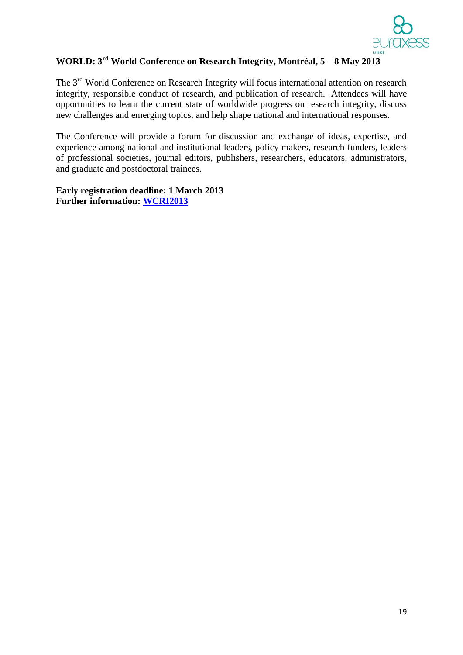

# **WORLD: 3rd World Conference on Research Integrity, Montréal, 5 – 8 May 2013**

The 3<sup>rd</sup> World Conference on Research Integrity will focus international attention on research integrity, responsible conduct of research, and publication of research. Attendees will have opportunities to learn the current state of worldwide progress on research integrity, discuss new challenges and emerging topics, and help shape national and international responses.

The Conference will provide a forum for discussion and exchange of ideas, expertise, and experience among national and institutional leaders, policy makers, research funders, leaders of professional societies, journal editors, publishers, researchers, educators, administrators, and graduate and postdoctoral trainees.

**Early registration deadline: 1 March 2013 Further information: [WCRI2013](http://www.wcri2013.org/overview_e.shtml)**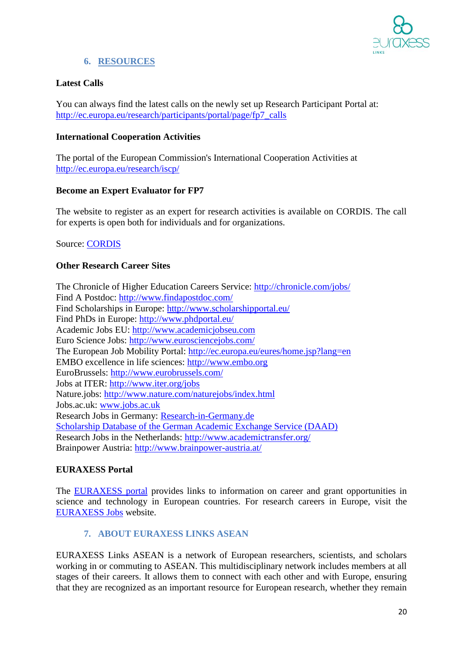

# **6. RESOURCES**

# **Latest Calls**

You can always find the latest calls on the newly set up Research Participant Portal at: [http://ec.europa.eu/research/participants/portal/page/fp7\\_calls](http://ec.europa.eu/research/participants/portal/page/fp7_calls)

#### **International Cooperation Activities**

The portal of the European Commission's International Cooperation Activities at <http://ec.europa.eu/research/iscp/>

# **Become an Expert Evaluator for FP7**

The website to register as an expert for research activities is available on CORDIS. The call for experts is open both for individuals and for organizations.

Source: [CORDIS](http://ec.europa.eu/research/participants/portal/page/experts;efp7_SESSION_ID=4XL2RkST2FLgVM1RTQDnG7X7ln2B2vLkVLtTMTZ30WsLhjyQ1JLL!1910695525)

# **Other Research Career Sites**

The Chronicle of Higher Education Careers Service: <http://chronicle.com/jobs/> Find A Postdoc: <http://www.findapostdoc.com/> Find Scholarships in Europe:<http://www.scholarshipportal.eu/> Find PhDs in Europe: <http://www.phdportal.eu/> Academic Jobs EU: [http://www.academicjobseu.com](http://www.academicjobseu.com/) Euro Science Jobs: <http://www.eurosciencejobs.com/> The European Job Mobility Portal:<http://ec.europa.eu/eures/home.jsp?lang=en> EMBO excellence in life sciences: [http://www.embo.org](http://www.embo.org/) EuroBrussels:<http://www.eurobrussels.com/> Jobs at ITER:<http://www.iter.org/jobs> Nature.jobs: <http://www.nature.com/naturejobs/index.html> Jobs.ac.uk: [www.jobs.ac.uk](http://www.jobs.ac.uk/) Research Jobs in Germany: [Research-in-Germany.de](http://www.research-in-germany.de/main/29402/research-career-in-germany.html) [Scholarship Database of the German Academic Exchange Service \(DAAD\)](http://www.daad.de/deutschland/stipendium/en/) Research Jobs in the Netherlands: <http://www.academictransfer.org/> Brainpower Austria: <http://www.brainpower-austria.at/>

# **EURAXESS Portal**

The [EURAXESS portal](http://ec.europa.eu/euraxess/index.cfm/general/index) provides links to information on career and grant opportunities in science and technology in European countries. For research careers in Europe, visit the [EURAXESS Jobs](http://ec.europa.eu/euraxess/index.cfm/jobs/jvSearch) website.

# **7. ABOUT EURAXESS LINKS ASEAN**

EURAXESS Links ASEAN is a network of European researchers, scientists, and scholars working in or commuting to ASEAN. This multidisciplinary network includes members at all stages of their careers. It allows them to connect with each other and with Europe, ensuring that they are recognized as an important resource for European research, whether they remain